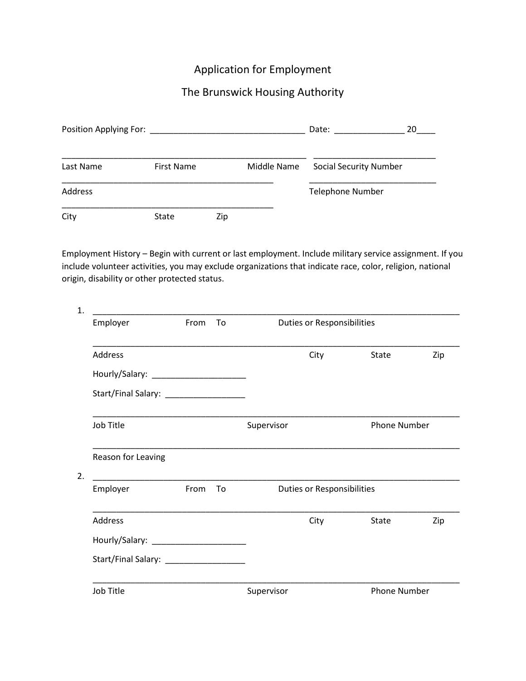## Application for Employment

# The Brunswick Housing Authority

| Position Applying For: ______ |                   |     |             | Date:<br>20                   |  |
|-------------------------------|-------------------|-----|-------------|-------------------------------|--|
| Last Name                     | <b>First Name</b> |     | Middle Name | <b>Social Security Number</b> |  |
| Address                       |                   |     |             | <b>Telephone Number</b>       |  |
| City                          | State             | Zip |             |                               |  |

Employment History – Begin with current or last employment. Include military service assignment. If you include volunteer activities, you may exclude organizations that indicate race, color, religion, national origin, disability or other protected status.

| Employer                                                  | From | To | <b>Duties or Responsibilities</b> |                     |     |
|-----------------------------------------------------------|------|----|-----------------------------------|---------------------|-----|
| <b>Address</b>                                            |      |    | City                              | <b>State</b>        | Zip |
| Hourly/Salary: ______________________                     |      |    |                                   |                     |     |
| Start/Final Salary: ______________________                |      |    |                                   |                     |     |
| Job Title                                                 |      |    | Supervisor                        | <b>Phone Number</b> |     |
| Reason for Leaving                                        |      |    |                                   |                     |     |
| <u> 1989 - Johann John Stone, mars et al.</u><br>Employer | From | To | <b>Duties or Responsibilities</b> |                     |     |
| Address                                                   |      |    | City                              | State               | Zip |
|                                                           |      |    |                                   |                     |     |
| Start/Final Salary: ____________________                  |      |    |                                   |                     |     |
| Job Title                                                 |      |    | Supervisor                        | <b>Phone Number</b> |     |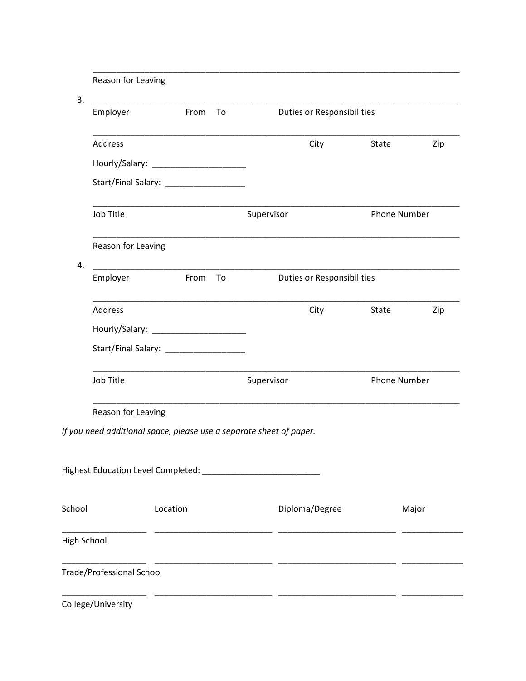|        | Reason for Leaving                     |          |      |    |                                                                     |       |                     |     |
|--------|----------------------------------------|----------|------|----|---------------------------------------------------------------------|-------|---------------------|-----|
| 3.     | Employer                               |          | From | To | <b>Duties or Responsibilities</b>                                   |       |                     |     |
|        | Address                                |          |      |    | City                                                                | State |                     | Zip |
|        |                                        |          |      |    |                                                                     |       |                     |     |
|        | Start/Final Salary: __________________ |          |      |    |                                                                     |       |                     |     |
|        | Job Title                              |          |      |    | Supervisor                                                          |       | <b>Phone Number</b> |     |
|        | Reason for Leaving                     |          |      |    |                                                                     |       |                     |     |
| 4.     | Employer                               |          | From | To | <b>Duties or Responsibilities</b>                                   |       |                     |     |
|        | <b>Address</b>                         |          |      |    | City                                                                | State |                     | Zip |
|        |                                        |          |      |    |                                                                     |       |                     |     |
|        |                                        |          |      |    |                                                                     |       |                     |     |
|        | Job Title                              |          |      |    | Supervisor                                                          |       | <b>Phone Number</b> |     |
|        | Reason for Leaving                     |          |      |    |                                                                     |       |                     |     |
|        |                                        |          |      |    | If you need additional space, please use a separate sheet of paper. |       |                     |     |
|        |                                        |          |      |    |                                                                     |       |                     |     |
|        |                                        |          |      |    |                                                                     |       |                     |     |
| School |                                        | Location |      |    | Diploma/Degree                                                      |       | Major               |     |
|        | <b>High School</b>                     |          |      |    |                                                                     |       |                     |     |
|        | <b>Trade/Professional School</b>       |          |      |    |                                                                     |       |                     |     |
|        |                                        |          |      |    |                                                                     |       |                     |     |

College/University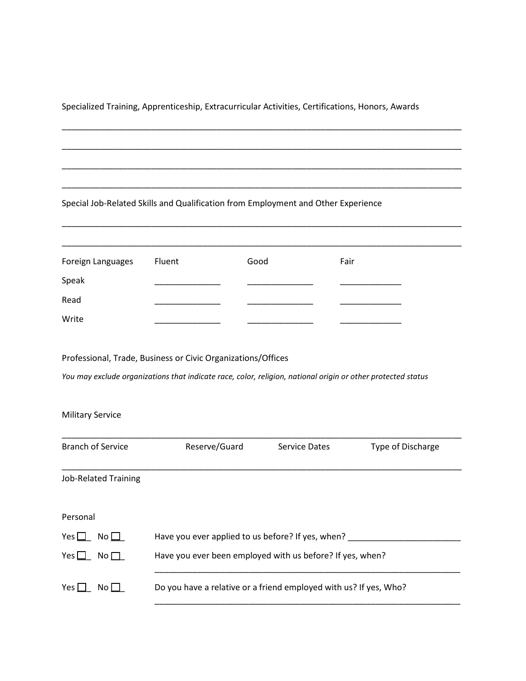Specialized Training, Apprenticeship, Extracurricular Activities, Certifications, Honors, Awards

\_\_\_\_\_\_\_\_\_\_\_\_\_\_\_\_\_\_\_\_\_\_\_\_\_\_\_\_\_\_\_\_\_\_\_\_\_\_\_\_\_\_\_\_\_\_\_\_\_\_\_\_\_\_\_\_\_\_\_\_\_\_\_\_\_\_\_\_\_\_\_\_\_\_\_\_\_\_\_\_\_\_\_\_\_

\_\_\_\_\_\_\_\_\_\_\_\_\_\_\_\_\_\_\_\_\_\_\_\_\_\_\_\_\_\_\_\_\_\_\_\_\_\_\_\_\_\_\_\_\_\_\_\_\_\_\_\_\_\_\_\_\_\_\_\_\_\_\_\_\_\_\_\_\_\_\_\_\_\_\_\_\_\_\_\_\_\_\_\_\_

\_\_\_\_\_\_\_\_\_\_\_\_\_\_\_\_\_\_\_\_\_\_\_\_\_\_\_\_\_\_\_\_\_\_\_\_\_\_\_\_\_\_\_\_\_\_\_\_\_\_\_\_\_\_\_\_\_\_\_\_\_\_\_\_\_\_\_\_\_\_\_\_\_\_\_\_\_\_\_\_\_\_\_\_\_

\_\_\_\_\_\_\_\_\_\_\_\_\_\_\_\_\_\_\_\_\_\_\_\_\_\_\_\_\_\_\_\_\_\_\_\_\_\_\_\_\_\_\_\_\_\_\_\_\_\_\_\_\_\_\_\_\_\_\_\_\_\_\_\_\_\_\_\_\_\_\_\_\_\_\_\_\_\_\_\_\_\_\_\_\_

\_\_\_\_\_\_\_\_\_\_\_\_\_\_\_\_\_\_\_\_\_\_\_\_\_\_\_\_\_\_\_\_\_\_\_\_\_\_\_\_\_\_\_\_\_\_\_\_\_\_\_\_\_\_\_\_\_\_\_\_\_\_\_\_\_\_\_\_\_\_\_\_\_\_\_\_\_\_\_\_\_\_\_\_\_

#### Special Job-Related Skills and Qualification from Employment and Other Experience

| Foreign Languages | Fluent | Good | Fair |
|-------------------|--------|------|------|
| Speak             |        |      |      |
| Read              |        |      |      |
| Write             |        |      |      |

Professional, Trade, Business or Civic Organizations/Offices

*You may exclude organizations that indicate race, color, religion, national origin or other protected status*

#### Military Service

| <b>Branch of Service</b>    | Reserve/Guard                                                     | Service Dates | <b>Type of Discharge</b> |  |  |
|-----------------------------|-------------------------------------------------------------------|---------------|--------------------------|--|--|
|                             |                                                                   |               |                          |  |  |
| <b>Job-Related Training</b> |                                                                   |               |                          |  |  |
|                             |                                                                   |               |                          |  |  |
| Personal                    |                                                                   |               |                          |  |  |
|                             |                                                                   |               |                          |  |  |
| Yes $\square$<br>No $\Box$  | Have you ever applied to us before? If yes, when?                 |               |                          |  |  |
| Yes $\Box$<br>No $\Box$     | Have you ever been employed with us before? If yes, when?         |               |                          |  |  |
|                             |                                                                   |               |                          |  |  |
| Yes $\Box$<br>$N$ o $\Box$  | Do you have a relative or a friend employed with us? If yes, Who? |               |                          |  |  |
|                             |                                                                   |               |                          |  |  |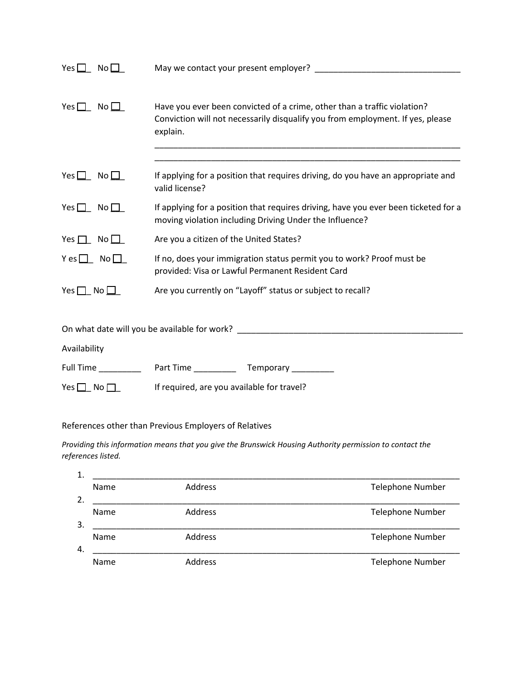| Yes $\square$<br>No $\square$  |                                                                                                                                                                        |  |  |  |
|--------------------------------|------------------------------------------------------------------------------------------------------------------------------------------------------------------------|--|--|--|
| Yes $\Box$ No $\Box$           | Have you ever been convicted of a crime, other than a traffic violation?<br>Conviction will not necessarily disqualify you from employment. If yes, please<br>explain. |  |  |  |
| Yes $\Box$ No $\Box$           | If applying for a position that requires driving, do you have an appropriate and<br>valid license?                                                                     |  |  |  |
| Yes $\Box$ No $\Box$           | If applying for a position that requires driving, have you ever been ticketed for a<br>moving violation including Driving Under the Influence?                         |  |  |  |
| Yes $\Box$ No $\Box$           | Are you a citizen of the United States?                                                                                                                                |  |  |  |
| $Y \text{ es } \Box$ No $\Box$ | If no, does your immigration status permit you to work? Proof must be<br>provided: Visa or Lawful Permanent Resident Card                                              |  |  |  |
| Yes $\Box$ No $\Box$           | Are you currently on "Layoff" status or subject to recall?                                                                                                             |  |  |  |
|                                | On what date will you be available for work? ___________________________________                                                                                       |  |  |  |
| Availability                   |                                                                                                                                                                        |  |  |  |
|                                |                                                                                                                                                                        |  |  |  |
| Yes $\Box$ No $\Box$           | If required, are you available for travel?                                                                                                                             |  |  |  |

## References other than Previous Employers of Relatives

*Providing this information means that you give the Brunswick Housing Authority permission to contact the references listed.* 

| 1. |      |                |                         |
|----|------|----------------|-------------------------|
|    | Name | Address        | <b>Telephone Number</b> |
| 2. |      |                |                         |
|    | Name | <b>Address</b> | <b>Telephone Number</b> |
| 3. |      |                |                         |
|    | Name | Address        | <b>Telephone Number</b> |
| 4. |      |                |                         |
|    | Name | <b>Address</b> | <b>Telephone Number</b> |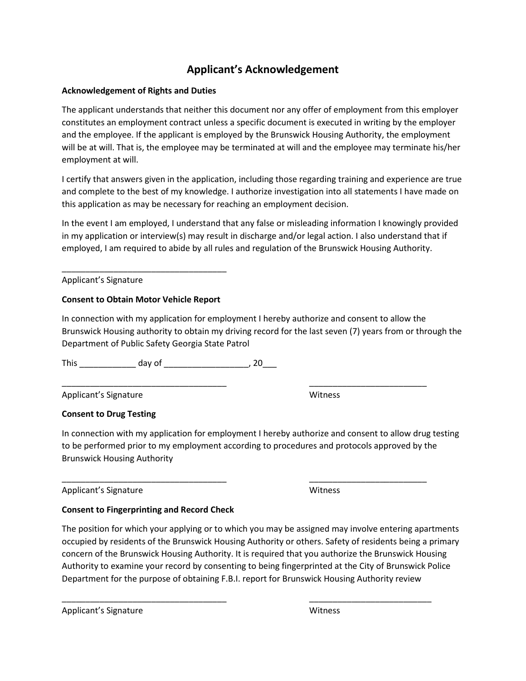## **Applicant's Acknowledgement**

### **Acknowledgement of Rights and Duties**

The applicant understands that neither this document nor any offer of employment from this employer constitutes an employment contract unless a specific document is executed in writing by the employer and the employee. If the applicant is employed by the Brunswick Housing Authority, the employment will be at will. That is, the employee may be terminated at will and the employee may terminate his/her employment at will.

I certify that answers given in the application, including those regarding training and experience are true and complete to the best of my knowledge. I authorize investigation into all statements I have made on this application as may be necessary for reaching an employment decision.

In the event I am employed, I understand that any false or misleading information I knowingly provided in my application or interview(s) may result in discharge and/or legal action. I also understand that if employed, I am required to abide by all rules and regulation of the Brunswick Housing Authority.

Applicant's Signature

#### **Consent to Obtain Motor Vehicle Report**

\_\_\_\_\_\_\_\_\_\_\_\_\_\_\_\_\_\_\_\_\_\_\_\_\_\_\_\_\_\_\_\_\_\_\_

In connection with my application for employment I hereby authorize and consent to allow the Brunswick Housing authority to obtain my driving record for the last seven (7) years from or through the Department of Public Safety Georgia State Patrol

\_\_\_\_\_\_\_\_\_\_\_\_\_\_\_\_\_\_\_\_\_\_\_\_\_\_\_\_\_\_\_\_\_\_\_ \_\_\_\_\_\_\_\_\_\_\_\_\_\_\_\_\_\_\_\_\_\_\_\_\_

\_\_\_\_\_\_\_\_\_\_\_\_\_\_\_\_\_\_\_\_\_\_\_\_\_\_\_\_\_\_\_\_\_\_\_ \_\_\_\_\_\_\_\_\_\_\_\_\_\_\_\_\_\_\_\_\_\_\_\_\_

This \_\_\_\_\_\_\_\_\_\_\_\_ day of \_\_\_\_\_\_\_\_\_\_\_\_\_\_\_\_\_\_, 20\_\_\_

Applicant's Signature Witness

### **Consent to Drug Testing**

In connection with my application for employment I hereby authorize and consent to allow drug testing to be performed prior to my employment according to procedures and protocols approved by the Brunswick Housing Authority

Applicant's Signature **Microsoft Contract Contract Contract Contract Contract Contract Contract Contract Contract Contract Contract Contract Contract Contract Contract Contract Contract Contract Contract Contract Contract** 

### **Consent to Fingerprinting and Record Check**

The position for which your applying or to which you may be assigned may involve entering apartments occupied by residents of the Brunswick Housing Authority or others. Safety of residents being a primary concern of the Brunswick Housing Authority. It is required that you authorize the Brunswick Housing Authority to examine your record by consenting to being fingerprinted at the City of Brunswick Police Department for the purpose of obtaining F.B.I. report for Brunswick Housing Authority review

\_\_\_\_\_\_\_\_\_\_\_\_\_\_\_\_\_\_\_\_\_\_\_\_\_\_\_\_\_\_\_\_\_\_\_ \_\_\_\_\_\_\_\_\_\_\_\_\_\_\_\_\_\_\_\_\_\_\_\_\_\_

Applicant's Signature Witness